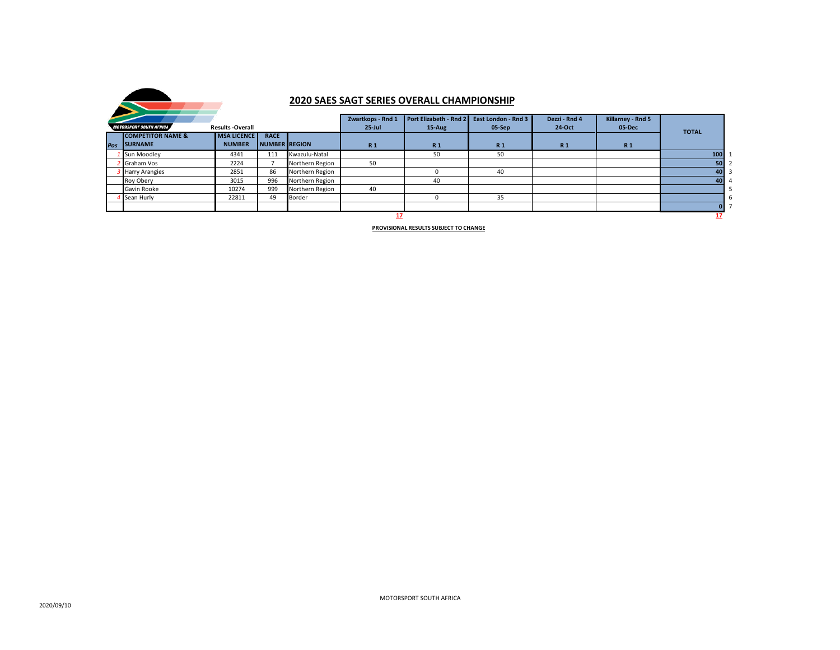

## **2020 SAES SAGT SERIES OVERALL CHAMPIONSHIP**

|                                                           |                              |                    |                      |                 | Zwartkops - Rnd 1 | Port Elizabeth - Rnd 2 | East London - Rnd 3 | Dezzi - Rnd 4  | Killarney - Rnd 5 |     |  |
|-----------------------------------------------------------|------------------------------|--------------------|----------------------|-----------------|-------------------|------------------------|---------------------|----------------|-------------------|-----|--|
| <b>MOTORSPORT SOUTH AFRICA</b><br><b>Results -Overall</b> |                              |                    |                      | $25$ -Jul       | $15-Aug$          | 05-Sep                 | 24-Oct              | 05-Dec         | <b>TOTAL</b>      |     |  |
|                                                           | <b>COMPETITOR NAME &amp;</b> | <b>MSA LICENCE</b> | <b>RACE</b>          |                 |                   |                        |                     |                |                   |     |  |
|                                                           | Pos SURNAME                  | <b>NUMBER</b>      | <b>NUMBER REGION</b> |                 | R <sub>1</sub>    | R <sub>1</sub>         | <b>R1</b>           | R <sub>1</sub> | R <sub>1</sub>    |     |  |
|                                                           | Sun Moodley                  | 4341               | 111                  | Kwazulu-Natal   |                   | 50                     | 50                  |                |                   | 100 |  |
|                                                           | Graham Vos                   | 2224               |                      | Northern Region | 50                |                        |                     |                |                   | 50  |  |
|                                                           | <b>Harry Arangies</b>        | 2851               | 86                   | Northern Region |                   |                        | 40                  |                |                   | 40  |  |
|                                                           | Roy Obery                    | 3015               | 996                  | Northern Region |                   | 40                     |                     |                |                   | 40  |  |
|                                                           | Gavin Rooke                  | 10274              | 999                  | Northern Region | 40                |                        |                     |                |                   |     |  |
|                                                           | <b>Sean Hurly</b>            | 22811              | 49                   | Border          |                   |                        | 35                  |                |                   |     |  |
|                                                           |                              |                    |                      |                 |                   |                        |                     |                |                   | 0.  |  |
|                                                           |                              |                    |                      |                 |                   |                        |                     |                |                   |     |  |

**PROVISIONAL RESULTS SUBJECT TO CHANGE**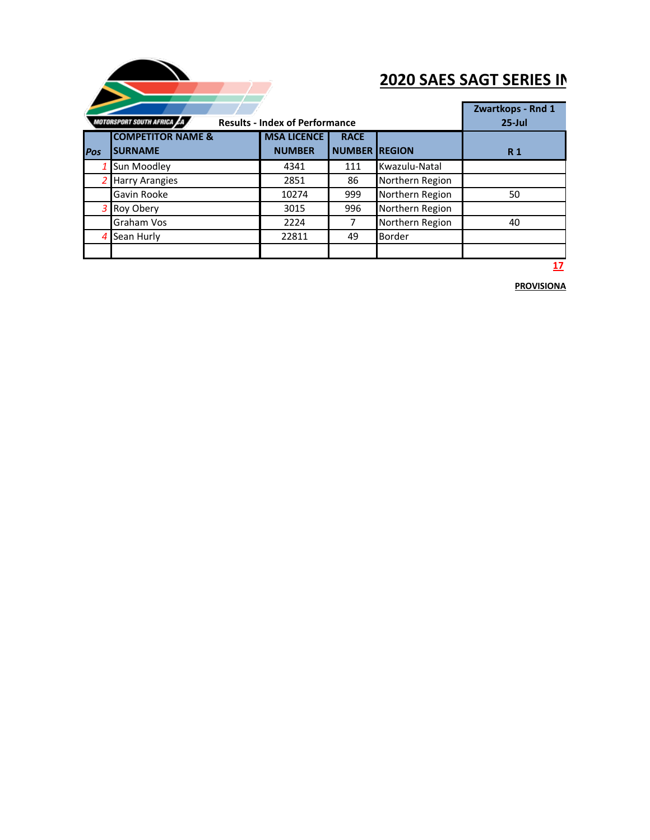

## **2020 SAES SAGT SERIES IN**

|             |                                                                     | Zwartkops - Rnd 1  |                      |                 |            |
|-------------|---------------------------------------------------------------------|--------------------|----------------------|-----------------|------------|
|             | MOTORSPORT SOUTH AFRICA LA<br><b>Results - Index of Performance</b> | $25$ -Jul          |                      |                 |            |
|             | <b>COMPETITOR NAME &amp;</b>                                        | <b>MSA LICENCE</b> | <b>RACE</b>          |                 |            |
| <b>IPos</b> | <b>SURNAME</b>                                                      | <b>NUMBER</b>      | <b>NUMBER REGION</b> |                 | <b>R</b> 1 |
|             | Sun Moodley                                                         | 4341               | 111                  | Kwazulu-Natal   |            |
|             | <b>Harry Arangies</b>                                               | 2851               | 86                   | Northern Region |            |
|             | Gavin Rooke                                                         | 10274              | 999                  | Northern Region | 50         |
| 3.          | Roy Obery                                                           | 3015               | 996                  | Northern Region |            |
|             | <b>Graham Vos</b>                                                   | 2224               |                      | Northern Region | 40         |
| 4           | Sean Hurly                                                          | 22811              | 49                   | <b>Border</b>   |            |
|             |                                                                     |                    |                      |                 |            |
|             |                                                                     |                    |                      |                 |            |

**17**

**PROVISIONA**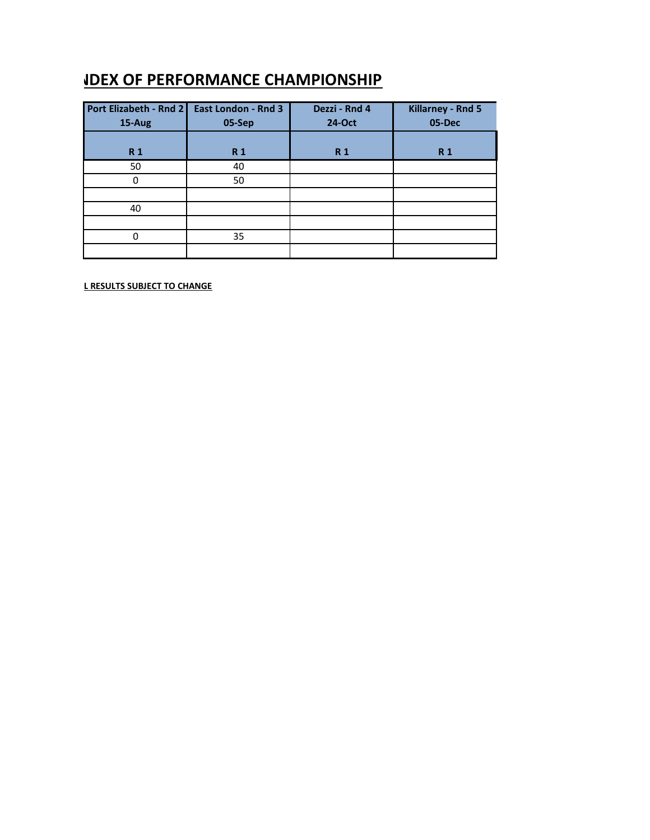## **<u>IDEX OF PERFORMANCE CHAMPIONSHIP</u>**

| Port Elizabeth - Rnd 2 | <b>East London - Rnd 3</b> | Dezzi - Rnd 4 | Killarney - Rnd 5 |
|------------------------|----------------------------|---------------|-------------------|
| 15-Aug                 | 05-Sep                     | 24-Oct        | 05-Dec            |
|                        |                            |               |                   |
| <b>R1</b>              | R <sub>1</sub>             | <b>R1</b>     | R <sub>1</sub>    |
| 50                     | 40                         |               |                   |
| $\Omega$               | 50                         |               |                   |
|                        |                            |               |                   |
| 40                     |                            |               |                   |
|                        |                            |               |                   |
| n                      | 35                         |               |                   |
|                        |                            |               |                   |

**L RESULTS SUBJECT TO CHANGE**